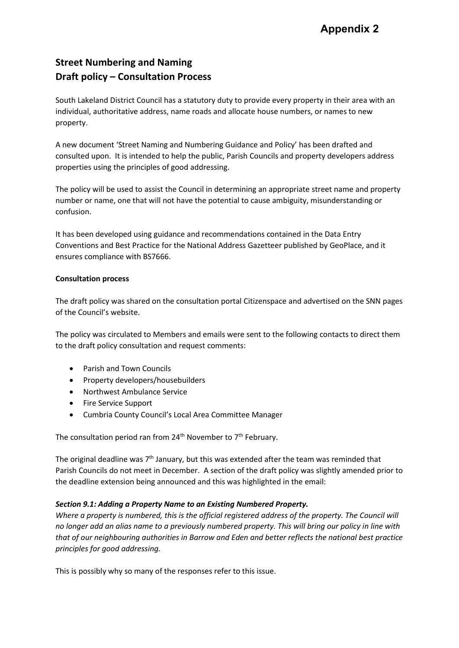# **Street Numbering and Naming Draft policy – Consultation Process**

South Lakeland District Council has a statutory duty to provide every property in their area with an individual, authoritative address, name roads and allocate house numbers, or names to new property.

A new document 'Street Naming and Numbering Guidance and Policy' has been drafted and consulted upon. It is intended to help the public, Parish Councils and property developers address properties using the principles of good addressing.

The policy will be used to assist the Council in determining an appropriate street name and property number or name, one that will not have the potential to cause ambiguity, misunderstanding or confusion.

It has been developed using guidance and recommendations contained in the Data Entry Conventions and Best Practice for the National Address Gazetteer published by GeoPlace, and it ensures compliance with BS7666.

## **Consultation process**

The draft policy was shared on the consultation portal Citizenspace and advertised on the SNN pages of the Council's website.

The policy was circulated to Members and emails were sent to the following contacts to direct them to the draft policy consultation and request comments:

- Parish and Town Councils
- Property developers/housebuilders
- Northwest Ambulance Service
- Fire Service Support
- Cumbria County Council's Local Area Committee Manager

The consultation period ran from  $24<sup>th</sup>$  November to  $7<sup>th</sup>$  February.

The original deadline was 7<sup>th</sup> January, but this was extended after the team was reminded that Parish Councils do not meet in December. A section of the draft policy was slightly amended prior to the deadline extension being announced and this was highlighted in the email:

## *Section 9.1: Adding a Property Name to an Existing Numbered Property.*

*Where a property is numbered, this is the official registered address of the property. The Council will no longer add an alias name to a previously numbered property. This will bring our policy in line with that of our neighbouring authorities in Barrow and Eden and better reflects the national best practice principles for good addressing.*

This is possibly why so many of the responses refer to this issue.